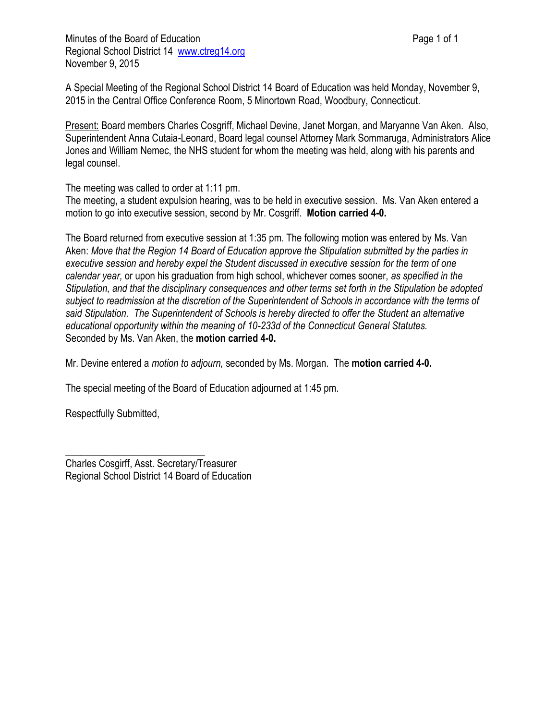A Special Meeting of the Regional School District 14 Board of Education was held Monday, November 9, 2015 in the Central Office Conference Room, 5 Minortown Road, Woodbury, Connecticut.

Present: Board members Charles Cosgriff, Michael Devine, Janet Morgan, and Maryanne Van Aken. Also, Superintendent Anna Cutaia-Leonard, Board legal counsel Attorney Mark Sommaruga, Administrators Alice Jones and William Nemec, the NHS student for whom the meeting was held, along with his parents and legal counsel.

The meeting was called to order at 1:11 pm.

The meeting, a student expulsion hearing, was to be held in executive session. Ms. Van Aken entered a motion to go into executive session, second by Mr. Cosgriff. **Motion carried 4-0.** 

The Board returned from executive session at 1:35 pm. The following motion was entered by Ms. Van Aken: *Move that the Region 14 Board of Education approve the Stipulation submitted by the parties in executive session and hereby expel the Student discussed in executive session for the term of one calendar year,* or upon his graduation from high school, whichever comes sooner, *as specified in the Stipulation, and that the disciplinary consequences and other terms set forth in the Stipulation be adopted subject to readmission at the discretion of the Superintendent of Schools in accordance with the terms of said Stipulation. The Superintendent of Schools is hereby directed to offer the Student an alternative educational opportunity within the meaning of 10-233d of the Connecticut General Statutes.* Seconded by Ms. Van Aken, the **motion carried 4-0.**

Mr. Devine entered a *motion to adjourn,* seconded by Ms. Morgan. The **motion carried 4-0.**

The special meeting of the Board of Education adjourned at 1:45 pm.

Respectfully Submitted,

Charles Cosgirff, Asst. Secretary/Treasurer Regional School District 14 Board of Education

\_\_\_\_\_\_\_\_\_\_\_\_\_\_\_\_\_\_\_\_\_\_\_\_\_\_\_\_